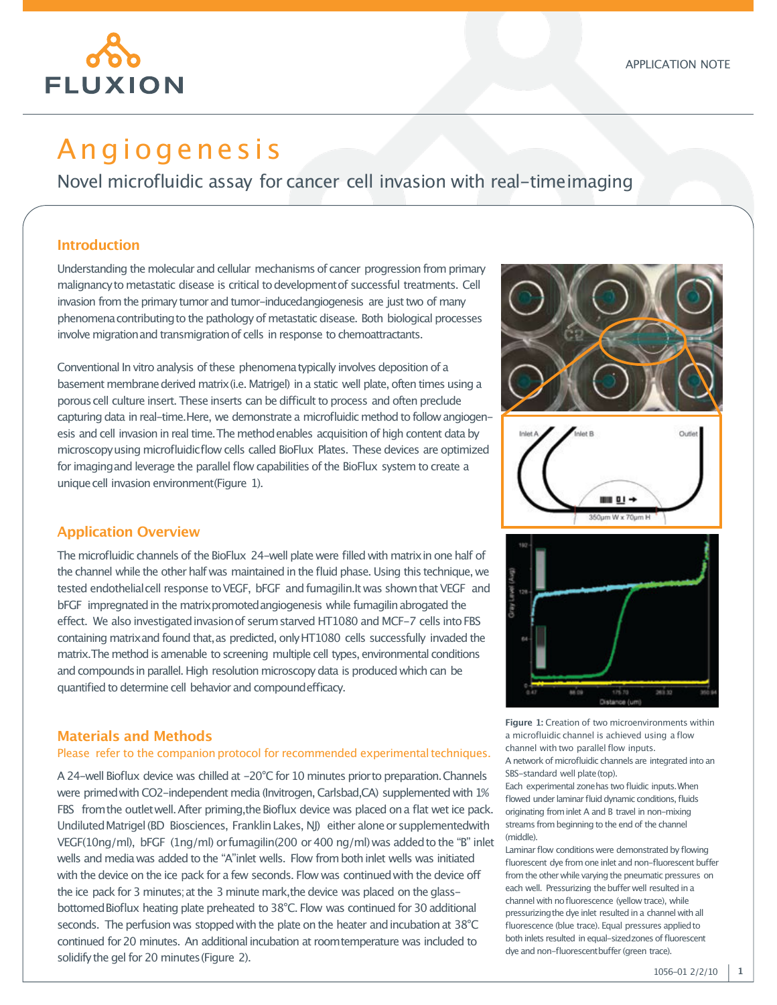

# A n gi o g e n e si s

Novel microfluidic assay for cancer cell invasion with real-timeimaging

#### **Introduction**

Understanding the molecular and cellular mechanisms of cancer progression from primary malignancyto metastatic disease is critical todevelopmentof successful treatments. Cell invasion from the primary tumor and tumor-inducedangiogenesis are just two of many phenomenacontributingto the pathology of metastatic disease. Both biological processes involve migration and transmigration of cells in response to chemoattractants.

Conventional In vitro analysis of these phenomena typically involves deposition of a basement membrane derived matrix (i.e. Matrigel) in a static well plate, often times using a porous cell culture insert. These inserts can be difficult to process and often preclude capturing data in real-time. Here, we demonstrate a microfluidic method to follow angiogenesis and cell invasion in real time. The method enables acquisition of high content data by microscopyusing microfluidicflow cells called BioFlux Plates. These devices are optimized for imaging and leverage the parallel flow capabilities of the BioFlux system to create a unique cell invasion environment(Figure 1).

## **Application Overview**

The microfluidic channels of the BioFlux 24-well plate were filled with matrixin one half of the channel while the other half was maintained in the fluid phase. Using this technique, we tested endothelial cell response to VEGF, bFGF and fumagilin.It was shown that VEGF and bFGF impregnated in the matrix promoted angiogenesis while fumagilin abrogated the effect. We also investigated invasion of serum starved HT1080 and MCF-7 cells into FBS containing matrix and found that, as predicted, only HT1080 cells successfully invaded the matrix. The method is amenable to screening multiple cell types, environmental conditions and compounds in parallel. High resolution microscopy data is produced which can be quantified to determine cell behavior and compound efficacy.

## **Materials and Methods**

#### Please refer to the companion protocol for recommended experimental techniques.

A 24-well Bioflux device was chilled at -20°C for 10 minutes prior to preparation. Channels were primed with CO2-independent media (Invitrogen, Carlsbad,CA) supplemented with 1% FBS from the outlet well. After priming, the Bioflux device was placed on a flat wet ice pack. Undiluted Matrigel (BD Biosciences, Franklin Lakes, NJ) either alone or supplementedwith VEGF(10ng/ml), bFGF (1ng/ml) orfumagilin(200 or400 ng/ml)was addedtothe "B" inlet wells and mediawas added to the "A"inlet wells. Flow frombothinlet wells was initiated with the device on the ice pack for a few seconds. Flow was continued with the device off the ice pack for 3 minutes; at the 3 minute mark, the device was placed on the glassbottomed Bioflux heating plate preheated to 38°C. Flow was continued for 30 additional seconds. The perfusion was stopped with the plate on the heater and incubation at  $38^{\circ}$ C continued for 20 minutes. An additional incubation at room temperature was included to solidify the gel for 20 minutes (Figure 2).



**Figure 1:** Creation of two microenvironments within a microfluidic channel is achieved using a flow channel with two parallel flow inputs. Anetwork of microfluidic channels are integrated into an SBS-standard well plate(top).

Each experimental zonehas two fluidic inputs.When flowed under laminar fluid dynamic conditions, fluids originating frominlet A and B travel in non-mixing streams from beginning to the end of the channel (middle).

Laminar flow conditions were demonstrated by flowing fluorescent dye from one inlet and non-fluorescent buffer from the other while varying the pneumatic pressures on each well. Pressurizing the buffer well resulted in a channel with nofluorescence (yellow trace), while pressurizing the dye inlet resulted in a channel with all fluorescence (blue trace). Equal pressures applied to both inlets resulted in equal-sizedzones of fluorescent dye and non-fluorescentbuffer (green trace).

**1**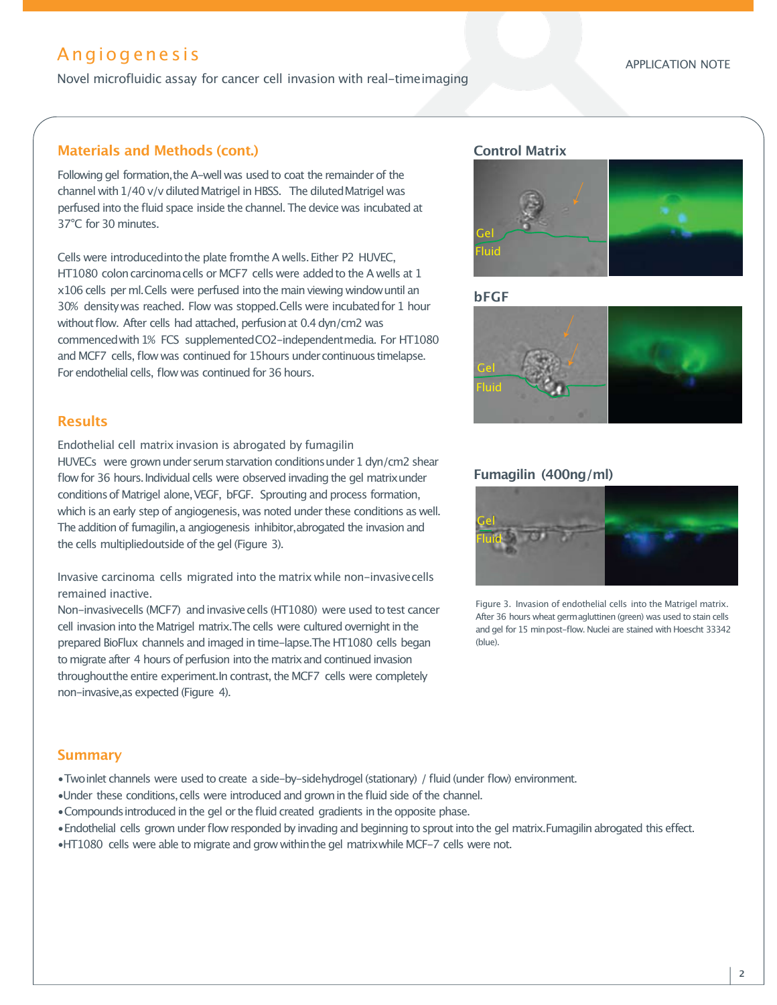# A n gi o g e n e si s

Novel microfluidic assay for cancer cell invasion with real-timeimaging

# **Materials and Methods (cont.)**

Following gel formation, the A-well was used to coat the remainder of the channel with 1/40 v/v diluted Matrigel in HBSS. The diluted Matrigel was perfused into the fluid space inside the channel. The device was incubated at 37°C for 30 minutes.

Cells were introducedinto the plate from the A wells. Either P2 HUVEC, HT1080 colon carcinoma cells or MCF7 cells were added to the A wells at 1 x106 cells per ml.Cells were perfused into the main viewing windowuntil an 30% density was reached. Flow was stopped.Cells were incubated for 1 hour without flow. After cells had attached, perfusion at 0.4 dyn/cm2 was commenced with 1% FCS supplemented CO2-independent media. For HT1080 and MCF7 cells, flow was continued for 15hours under continuous timelapse. For endothelial cells, flow was continued for 36 hours.

# **Results**

Endothelial cell matrix invasion is abrogated by fumagilin HUVECs were grown under serum starvation conditions under 1 dyn/cm2 shear flow for 36 hours. Individual cells were observed invading the gel matrix under conditions of Matrigel alone, VEGF, bFGF. Sprouting and process formation, which is an early step of angiogenesis, was noted under these conditions as well. The addition of fumagilin, a angiogenesis inhibitor, abrogated the invasion and the cells multipliedoutside of the gel (Figure 3).

Invasive carcinoma cells migrated into the matrix while non-invasivecells remained inactive.

Non-invasivecells (MCF7) andinvasivecells (HT1080) were used totest cancer cell invasion into the Matrigel matrix. The cells were cultured overnight in the prepared BioFlux channels and imaged in time-lapse.The HT1080 cells began to migrate after 4 hours of perfusion into the matrix and continued invasion throughout the entire experiment. In contrast, the MCF7 cells were completely non-invasive,as expected (Figure 4).

#### **Control Matrix**



**bFGF**



#### **Fumagilin (400ng/ml)**



Figure 3. Invasion of endothelial cells into the Matrigel matrix. After 36 hours wheat germagluttinen (green) was used to stain cells and gel for 15 minpost-flow. Nuclei are stained with Hoescht 33342 (blue).

#### **Summary**

•Twoinlet channels were used to create a side-by-sidehydrogel(stationary) / fluid (under flow) environment.

- •Under these conditions, cells were introduced and grown in the fluid side of the channel.
- Compounds introduced in the gel or the fluid created gradients in the opposite phase.
- Endothelial cells grown under flow responded by invading and beginning to sprout into the gel matrix. Fumagilin abrogated this effect.
- •HT1080 cells were able to migrate and grow withinthe gel matrixwhile MCF-7 cells were not.